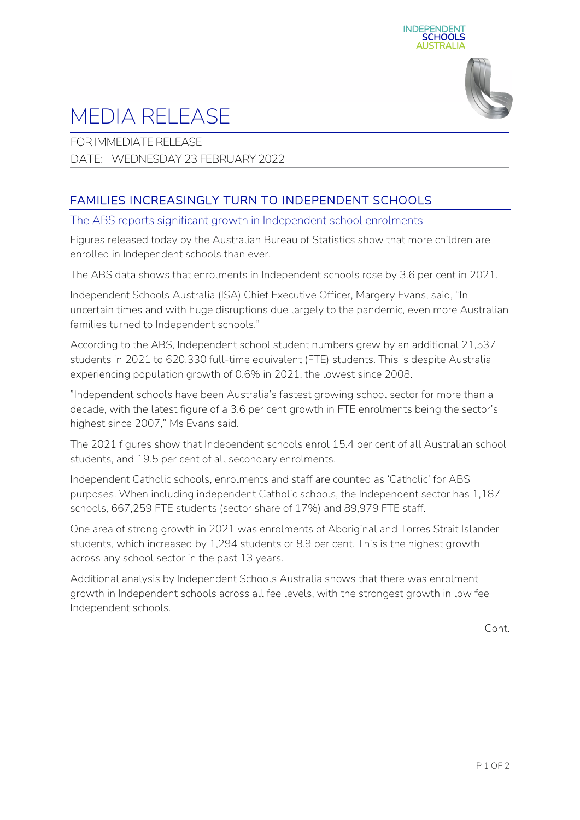



## MEDIA RELEASE

FOR IMMEDIATE RELEASE

DATE: WEDNESDAY 23 FEBRUARY 2022

## FAMILIES INCREASINGLY TURN TO INDEPENDENT SCHOOLS

The ABS reports significant growth in Independent school enrolments

Figures released today by the Australian Bureau of Statistics show that more children are enrolled in Independent schools than ever.

The ABS data shows that enrolments in Independent schools rose by 3.6 per cent in 2021.

Independent Schools Australia (ISA) Chief Executive Officer, Margery Evans, said, "In uncertain times and with huge disruptions due largely to the pandemic, even more Australian families turned to Independent schools."

According to the ABS, Independent school student numbers grew by an additional 21,537 students in 2021 to 620,330 full-time equivalent (FTE) students. This is despite Australia experiencing population growth of 0.6% in 2021, the lowest since 2008.

"Independent schools have been Australia's fastest growing school sector for more than a decade, with the latest figure of a 3.6 per cent growth in FTE enrolments being the sector's highest since 2007," Ms Evans said.

The 2021 figures show that Independent schools enrol 15.4 per cent of all Australian school students, and 19.5 per cent of all secondary enrolments.

Independent Catholic schools, enrolments and staff are counted as 'Catholic' for ABS purposes. When including independent Catholic schools, the Independent sector has 1,187 schools, 667,259 FTE students (sector share of 17%) and 89,979 FTE staff.

One area of strong growth in 2021 was enrolments of Aboriginal and Torres Strait Islander students, which increased by 1,294 students or 8.9 per cent. This is the highest growth across any school sector in the past 13 years.

Additional analysis by Independent Schools Australia shows that there was enrolment growth in Independent schools across all fee levels, with the strongest growth in low fee Independent schools.

Cont.